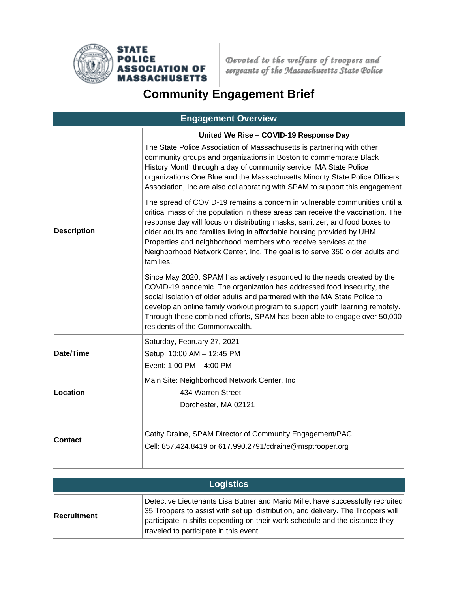

Devoted to the welfare of troopers and<br>sergeants of the Massachusetts State Police

## **Community Engagement Brief**

| <b>Engagement Overview</b> |                                                                                                                                                                                                                                                                                                                                                                                                                                                                                       |  |  |
|----------------------------|---------------------------------------------------------------------------------------------------------------------------------------------------------------------------------------------------------------------------------------------------------------------------------------------------------------------------------------------------------------------------------------------------------------------------------------------------------------------------------------|--|--|
|                            | United We Rise - COVID-19 Response Day                                                                                                                                                                                                                                                                                                                                                                                                                                                |  |  |
| <b>Description</b>         | The State Police Association of Massachusetts is partnering with other<br>community groups and organizations in Boston to commemorate Black<br>History Month through a day of community service. MA State Police<br>organizations One Blue and the Massachusetts Minority State Police Officers<br>Association, Inc are also collaborating with SPAM to support this engagement.                                                                                                      |  |  |
|                            | The spread of COVID-19 remains a concern in vulnerable communities until a<br>critical mass of the population in these areas can receive the vaccination. The<br>response day will focus on distributing masks, sanitizer, and food boxes to<br>older adults and families living in affordable housing provided by UHM<br>Properties and neighborhood members who receive services at the<br>Neighborhood Network Center, Inc. The goal is to serve 350 older adults and<br>families. |  |  |
|                            | Since May 2020, SPAM has actively responded to the needs created by the<br>COVID-19 pandemic. The organization has addressed food insecurity, the<br>social isolation of older adults and partnered with the MA State Police to<br>develop an online family workout program to support youth learning remotely.<br>Through these combined efforts, SPAM has been able to engage over 50,000<br>residents of the Commonwealth.                                                         |  |  |
| Date/Time                  | Saturday, February 27, 2021                                                                                                                                                                                                                                                                                                                                                                                                                                                           |  |  |
|                            | Setup: 10:00 AM - 12:45 PM                                                                                                                                                                                                                                                                                                                                                                                                                                                            |  |  |
|                            | Event: 1:00 PM - 4:00 PM                                                                                                                                                                                                                                                                                                                                                                                                                                                              |  |  |
| <b>Location</b>            | Main Site: Neighborhood Network Center, Inc                                                                                                                                                                                                                                                                                                                                                                                                                                           |  |  |
|                            | 434 Warren Street                                                                                                                                                                                                                                                                                                                                                                                                                                                                     |  |  |
|                            | Dorchester, MA 02121                                                                                                                                                                                                                                                                                                                                                                                                                                                                  |  |  |
| <b>Contact</b>             | Cathy Draine, SPAM Director of Community Engagement/PAC<br>Cell: 857.424.8419 or 617.990.2791/cdraine@msptrooper.org                                                                                                                                                                                                                                                                                                                                                                  |  |  |

| <b>Logistics</b>   |                                                                                                                                                                                                                                                                                              |  |  |
|--------------------|----------------------------------------------------------------------------------------------------------------------------------------------------------------------------------------------------------------------------------------------------------------------------------------------|--|--|
| <b>Recruitment</b> | Detective Lieutenants Lisa Butner and Mario Millet have successfully recruited<br>35 Troopers to assist with set up, distribution, and delivery. The Troopers will<br>participate in shifts depending on their work schedule and the distance they<br>traveled to participate in this event. |  |  |